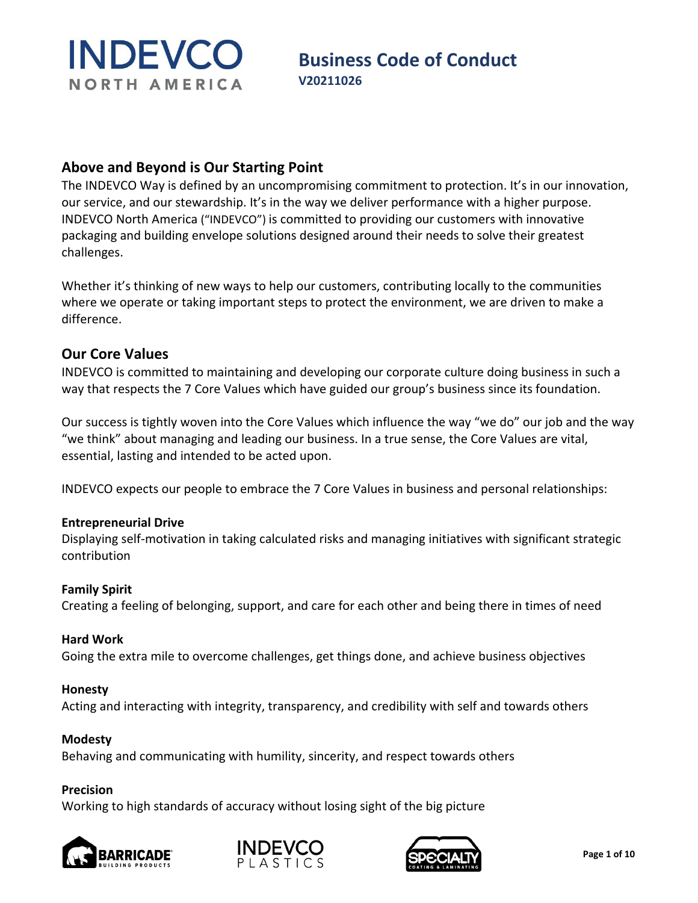## **Business Code of Conduct**<br>V20211026

#### **Above and Beyond is Our Starting Point**

The INDEVCO Way is defined by an uncompromising commitment to protection. It's in our innovation, our service, and our stewardship. It's in the way we deliver performance with a higher purpose. INDEVCO North America ("INDEVCO") is committed to providing our customers with innovative packaging and building envelope solutions designed around their needs to solve their greatest challenges.

Whether it's thinking of new ways to help our customers, contributing locally to the communities where we operate or taking important steps to protect the environment, we are driven to make a difference.

#### **Our Core Values**

INDEVCO is committed to maintaining and developing our corporate culture doing business in such a way that respects the 7 Core Values which have guided our group's business since its foundation.

Our success is tightly woven into the Core Values which influence the way "we do" our job and the way "we think" about managing and leading our business. In a true sense, the Core Values are vital, essential, lasting and intended to be acted upon.

INDEVCO expects our people to embrace the 7 Core Values in business and personal relationships:

#### **Entrepreneurial Drive**

Displaying self-motivation in taking calculated risks and managing initiatives with significant strategic contribution

#### **Family Spirit**

Creating a feeling of belonging, support, and care for each other and being there in times of need

#### **Hard Work**

Going the extra mile to overcome challenges, get things done, and achieve business objectives

#### **Honesty**

Acting and interacting with integrity, transparency, and credibility with self and towards others

#### **Modesty**

Behaving and communicating with humility, sincerity, and respect towards others

#### **Precision**

Working to high standards of accuracy without losing sight of the big picture





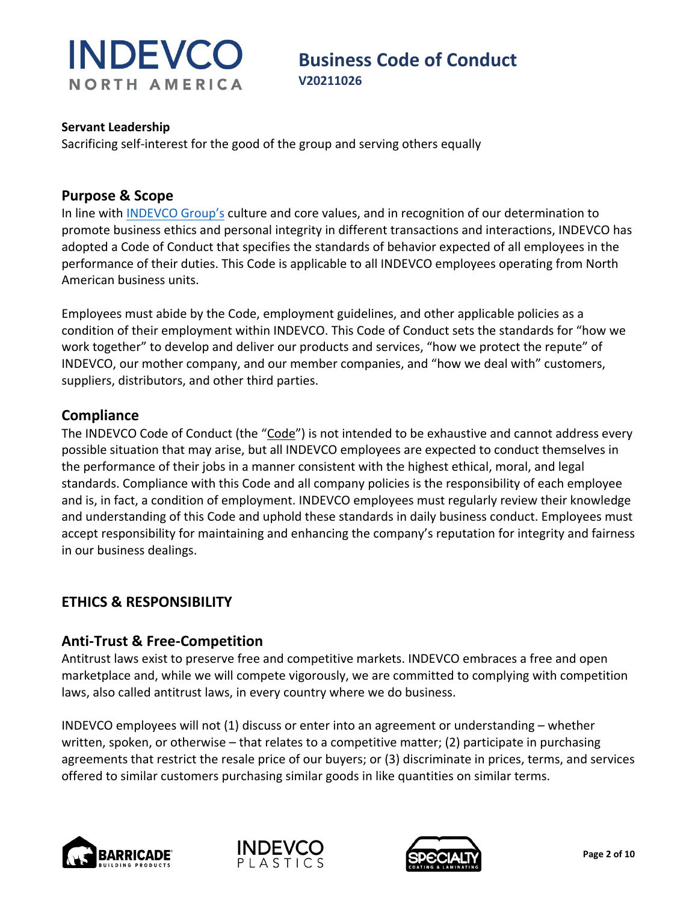

## **Business Code of Conduct**<br>V20211026

#### **Servant Leadership**

Sacrificing self-interest for the good of the group and serving others equally

#### **Purpose & Scope**

In line with [INDEVCO Group's](https://indevcogroup.com/about-us) culture and core values, and in recognition of our determination to promote business ethics and personal integrity in different transactions and interactions, INDEVCO has adopted a Code of Conduct that specifies the standards of behavior expected of all employees in the performance of their duties. This Code is applicable to all INDEVCO employees operating from North American business units.

Employees must abide by the Code, employment guidelines, and other applicable policies as a condition of their employment within INDEVCO. This Code of Conduct sets the standards for "how we work together" to develop and deliver our products and services, "how we protect the repute" of INDEVCO, our mother company, and our member companies, and "how we deal with" customers, suppliers, distributors, and other third parties.

#### **Compliance**

The INDEVCO Code of Conduct (the "Code") is not intended to be exhaustive and cannot address every possible situation that may arise, but all INDEVCO employees are expected to conduct themselves in the performance of their jobs in a manner consistent with the highest ethical, moral, and legal standards. Compliance with this Code and all company policies is the responsibility of each employee and is, in fact, a condition of employment. INDEVCO employees must regularly review their knowledge and understanding of this Code and uphold these standards in daily business conduct. Employees must accept responsibility for maintaining and enhancing the company's reputation for integrity and fairness in our business dealings.

#### **ETHICS & RESPONSIBILITY**

#### **Anti-Trust & Free-Competition**

Antitrust laws exist to preserve free and competitive markets. INDEVCO embraces a free and open marketplace and, while we will compete vigorously, we are committed to complying with competition laws, also called antitrust laws, in every country where we do business.

INDEVCO employees will not (1) discuss or enter into an agreement or understanding – whether written, spoken, or otherwise – that relates to a competitive matter; (2) participate in purchasing agreements that restrict the resale price of our buyers; or (3) discriminate in prices, terms, and services offered to similar customers purchasing similar goods in like quantities on similar terms.





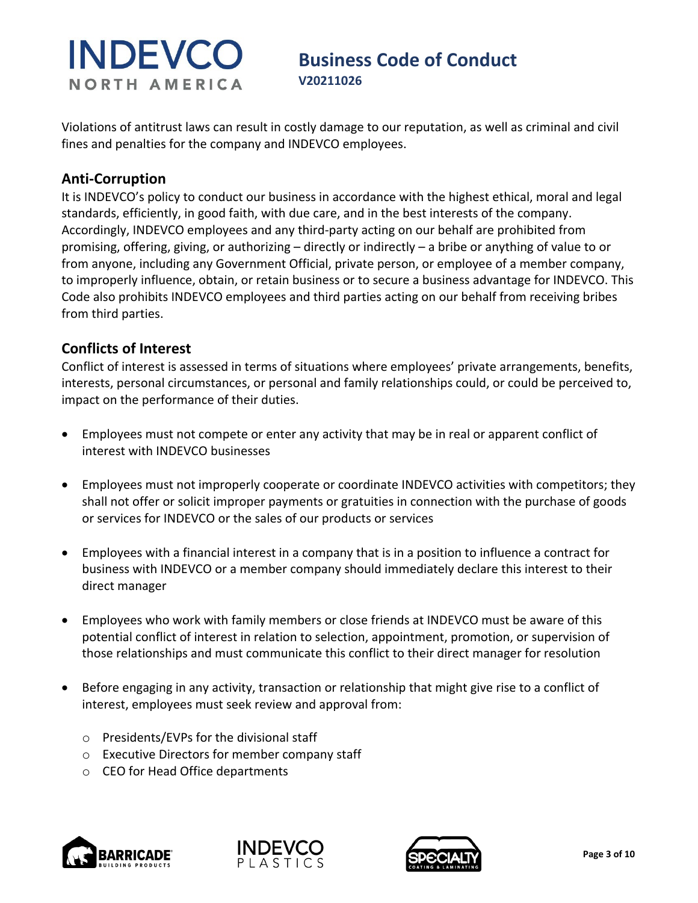# **Business Code of Conduct**<br>V20211026

Violations of antitrust laws can result in costly damage to our reputation, as well as criminal and civil fines and penalties for the company and INDEVCO employees.

### **Anti-Corruption**

It is INDEVCO's policy to conduct our business in accordance with the highest ethical, moral and legal standards, efficiently, in good faith, with due care, and in the best interests of the company. Accordingly, INDEVCO employees and any third-party acting on our behalf are prohibited from promising, offering, giving, or authorizing – directly or indirectly – a bribe or anything of value to or from anyone, including any Government Official, private person, or employee of a member company, to improperly influence, obtain, or retain business or to secure a business advantage for INDEVCO. This Code also prohibits INDEVCO employees and third parties acting on our behalf from receiving bribes from third parties.

### **Conflicts of Interest**

Conflict of interest is assessed in terms of situations where employees' private arrangements, benefits, interests, personal circumstances, or personal and family relationships could, or could be perceived to, impact on the performance of their duties.

- Employees must not compete or enter any activity that may be in real or apparent conflict of interest with INDEVCO businesses
- Employees must not improperly cooperate or coordinate INDEVCO activities with competitors; they shall not offer or solicit improper payments or gratuities in connection with the purchase of goods or services for INDEVCO or the sales of our products or services
- Employees with a financial interest in a company that is in a position to influence a contract for business with INDEVCO or a member company should immediately declare this interest to their direct manager
- Employees who work with family members or close friends at INDEVCO must be aware of this potential conflict of interest in relation to selection, appointment, promotion, or supervision of those relationships and must communicate this conflict to their direct manager for resolution
- Before engaging in any activity, transaction or relationship that might give rise to a conflict of interest, employees must seek review and approval from:
	- o Presidents/EVPs for the divisional staff
	- o Executive Directors for member company staff
	- o CEO for Head Office departments





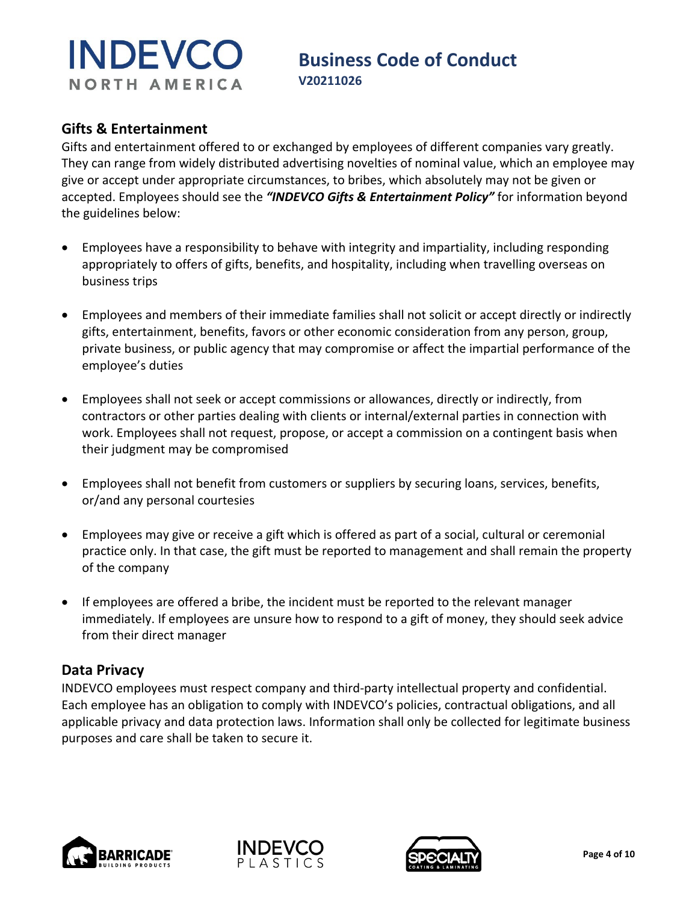# **Business Code of Conduct**<br>V20211026

#### **Gifts & Entertainment**

Gifts and entertainment offered to or exchanged by employees of different companies vary greatly. They can range from widely distributed advertising novelties of nominal value, which an employee may give or accept under appropriate circumstances, to bribes, which absolutely may not be given or accepted. Employees should see the *"INDEVCO Gifts & Entertainment Policy"* for information beyond the guidelines below:

- Employees have a responsibility to behave with integrity and impartiality, including responding appropriately to offers of gifts, benefits, and hospitality, including when travelling overseas on business trips
- Employees and members of their immediate families shall not solicit or accept directly or indirectly gifts, entertainment, benefits, favors or other economic consideration from any person, group, private business, or public agency that may compromise or affect the impartial performance of the employee's duties
- Employees shall not seek or accept commissions or allowances, directly or indirectly, from contractors or other parties dealing with clients or internal/external parties in connection with work. Employees shall not request, propose, or accept a commission on a contingent basis when their judgment may be compromised
- Employees shall not benefit from customers or suppliers by securing loans, services, benefits, or/and any personal courtesies
- Employees may give or receive a gift which is offered as part of a social, cultural or ceremonial practice only. In that case, the gift must be reported to management and shall remain the property of the company
- If employees are offered a bribe, the incident must be reported to the relevant manager immediately. If employees are unsure how to respond to a gift of money, they should seek advice from their direct manager

#### **Data Privacy**

INDEVCO employees must respect company and third-party intellectual property and confidential. Each employee has an obligation to comply with INDEVCO's policies, contractual obligations, and all applicable privacy and data protection laws. Information shall only be collected for legitimate business purposes and care shall be taken to secure it.





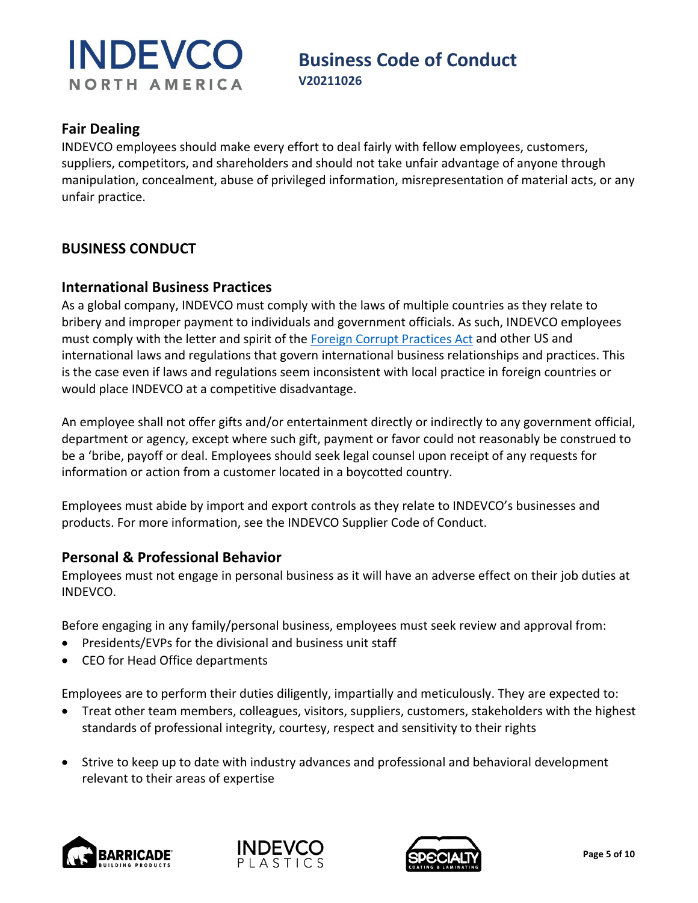# **Business Code of Conduct**<br>V20211026

#### **Fair Dealing**

INDEVCO employees should make every effort to deal fairly with fellow employees, customers, suppliers, competitors, and shareholders and should not take unfair advantage of anyone through manipulation, concealment, abuse of privileged information, misrepresentation of material acts, or any unfair practice.

#### **BUSINESS CONDUCT**

#### **International Business Practices**

As a global company, INDEVCO must comply with the laws of multiple countries as they relate to bribery and improper payment to individuals and government officials. As such, INDEVCO employees must comply with the letter and spirit of the [Foreign Corrupt Practices Act](https://www.justice.gov/criminal-fraud/foreign-corrupt-practices-act) and other US and international laws and regulations that govern international business relationships and practices. This is the case even if laws and regulations seem inconsistent with local practice in foreign countries or would place INDEVCO at a competitive disadvantage.

An employee shall not offer gifts and/or entertainment directly or indirectly to any government official, department or agency, except where such gift, payment or favor could not reasonably be construed to be a 'bribe, payoff or deal. Employees should seek legal counsel upon receipt of any requests for information or action from a customer located in a boycotted country.

Employees must abide by import and export controls as they relate to INDEVCO's businesses and products. For more information, see the INDEVCO Supplier Code of Conduct.

#### **Personal & Professional Behavior**

Employees must not engage in personal business as it will have an adverse effect on their job duties at INDEVCO.

Before engaging in any family/personal business, employees must seek review and approval from:

- Presidents/EVPs for the divisional and business unit staff
- CEO for Head Office departments

Employees are to perform their duties diligently, impartially and meticulously. They are expected to:

- Treat other team members, colleagues, visitors, suppliers, customers, stakeholders with the highest standards of professional integrity, courtesy, respect and sensitivity to their rights
- Strive to keep up to date with industry advances and professional and behavioral development relevant to their areas of expertise





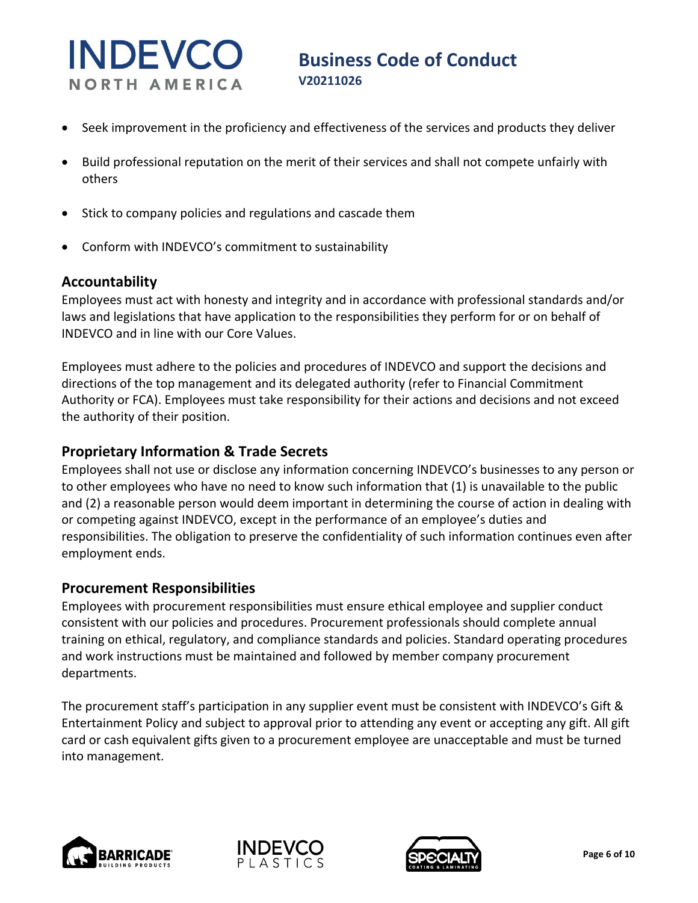- Seek improvement in the proficiency and effectiveness of the services and products they deliver
- Build professional reputation on the merit of their services and shall not compete unfairly with others
- Stick to company policies and regulations and cascade them
- Conform with INDEVCO's commitment to sustainability

#### **Accountability**

Employees must act with honesty and integrity and in accordance with professional standards and/or laws and legislations that have application to the responsibilities they perform for or on behalf of INDEVCO and in line with our Core Values.

Employees must adhere to the policies and procedures of INDEVCO and support the decisions and directions of the top management and its delegated authority (refer to Financial Commitment Authority or FCA). Employees must take responsibility for their actions and decisions and not exceed the authority of their position.

#### **Proprietary Information & Trade Secrets**

Employees shall not use or disclose any information concerning INDEVCO's businesses to any person or to other employees who have no need to know such information that (1) is unavailable to the public and (2) a reasonable person would deem important in determining the course of action in dealing with or competing against INDEVCO, except in the performance of an employee's duties and responsibilities. The obligation to preserve the confidentiality of such information continues even after employment ends.

#### **Procurement Responsibilities**

Employees with procurement responsibilities must ensure ethical employee and supplier conduct consistent with our policies and procedures. Procurement professionals should complete annual training on ethical, regulatory, and compliance standards and policies. Standard operating procedures and work instructions must be maintained and followed by member company procurement departments.

The procurement staff's participation in any supplier event must be consistent with INDEVCO's Gift & Entertainment Policy and subject to approval prior to attending any event or accepting any gift. All gift card or cash equivalent gifts given to a procurement employee are unacceptable and must be turned into management.





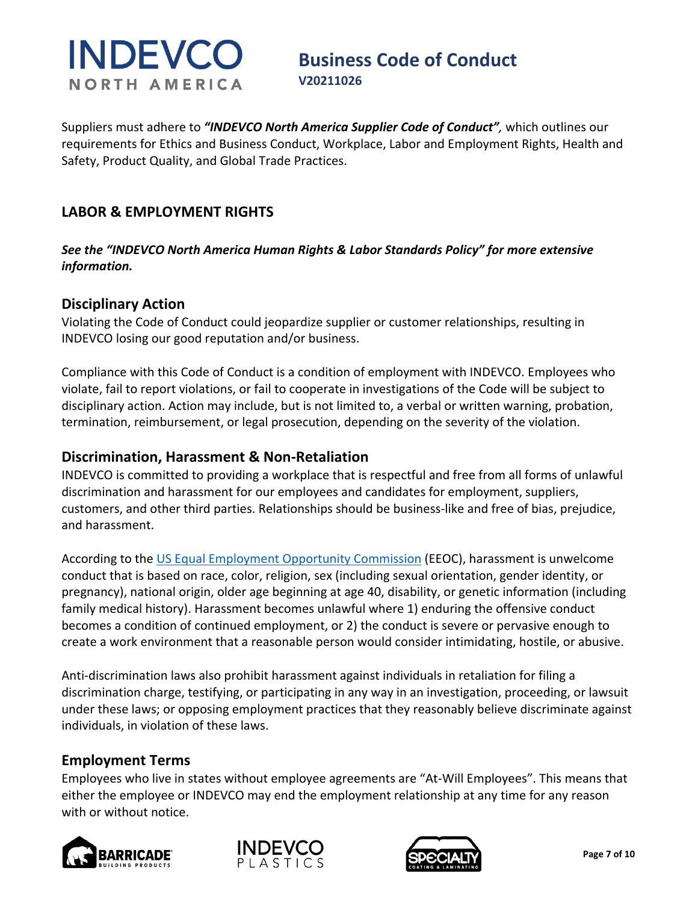# **Business Code of Conduct**<br>V20211026

Suppliers must adhere to *"INDEVCO North America Supplier Code of Conduct",* which outlines our requirements for Ethics and Business Conduct, Workplace, Labor and Employment Rights, Health and Safety, Product Quality, and Global Trade Practices.

### **LABOR & EMPLOYMENT RIGHTS**

*See the "INDEVCO North America Human Rights & Labor Standards Policy" for more extensive information.* 

#### **Disciplinary Action**

Violating the Code of Conduct could jeopardize supplier or customer relationships, resulting in INDEVCO losing our good reputation and/or business.

Compliance with this Code of Conduct is a condition of employment with INDEVCO. Employees who violate, fail to report violations, or fail to cooperate in investigations of the Code will be subject to disciplinary action. Action may include, but is not limited to, a verbal or written warning, probation, termination, reimbursement, or legal prosecution, depending on the severity of the violation.

#### **Discrimination, Harassment & Non-Retaliation**

INDEVCO is committed to providing a workplace that is respectful and free from all forms of unlawful discrimination and harassment for our employees and candidates for employment, suppliers, customers, and other third parties. Relationships should be business-like and free of bias, prejudice, and harassment.

According to the [US Equal Employment Opportunity Commission](https://www.eeoc.gov/harassment) (EEOC), harassment is unwelcome conduct that is based on race, color, religion, sex (including sexual orientation, gender identity, or pregnancy), national origin, older age beginning at age 40, disability, or genetic information (including family medical history). Harassment becomes unlawful where 1) enduring the offensive conduct becomes a condition of continued employment, or 2) the conduct is severe or pervasive enough to create a work environment that a reasonable person would consider intimidating, hostile, or abusive.

Anti-discrimination laws also prohibit harassment against individuals in retaliation for filing a discrimination charge, testifying, or participating in any way in an investigation, proceeding, or lawsuit under these laws; or opposing employment practices that they reasonably believe discriminate against individuals, in violation of these laws.

### **Employment Terms**

Employees who live in states without employee agreements are "At-Will Employees". This means that either the employee or INDEVCO may end the employment relationship at any time for any reason with or without notice.





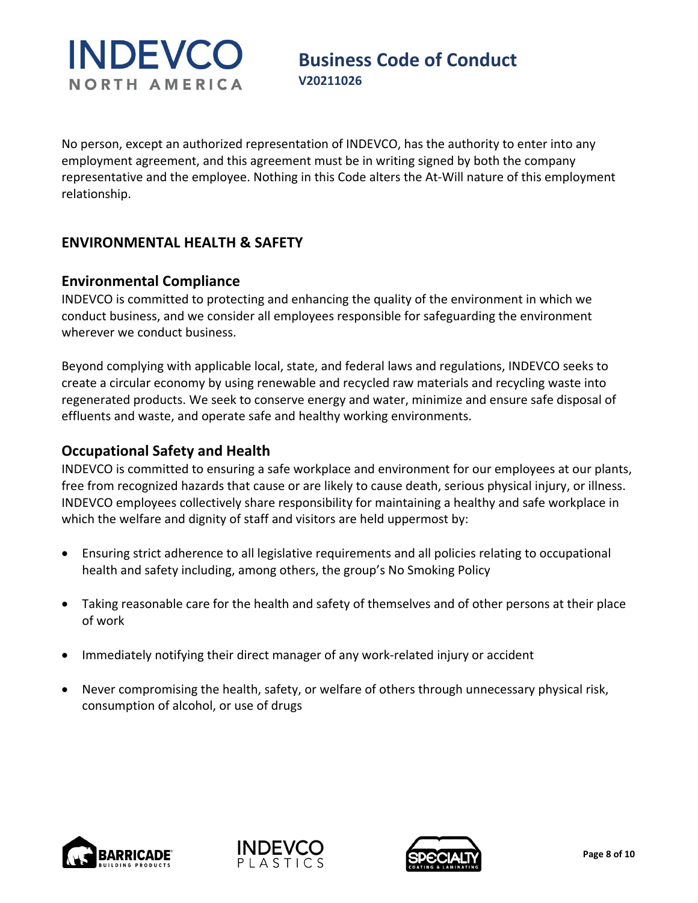# **Business Code of Conduct**<br>V20211026

No person, except an authorized representation of INDEVCO, has the authority to enter into any employment agreement, and this agreement must be in writing signed by both the company representative and the employee. Nothing in this Code alters the At-Will nature of this employment relationship.

### **ENVIRONMENTAL HEALTH & SAFETY**

#### **Environmental Compliance**

INDEVCO is committed to protecting and enhancing the quality of the environment in which we conduct business, and we consider all employees responsible for safeguarding the environment wherever we conduct business.

Beyond complying with applicable local, state, and federal laws and regulations, INDEVCO seeks to create a circular economy by using renewable and recycled raw materials and recycling waste into regenerated products. We seek to conserve energy and water, minimize and ensure safe disposal of effluents and waste, and operate safe and healthy working environments.

#### **Occupational Safety and Health**

INDEVCO is committed to ensuring a safe workplace and environment for our employees at our plants, free from recognized hazards that cause or are likely to cause death, serious physical injury, or illness. INDEVCO employees collectively share responsibility for maintaining a healthy and safe workplace in which the welfare and dignity of staff and visitors are held uppermost by:

- Ensuring strict adherence to all legislative requirements and all policies relating to occupational health and safety including, among others, the group's No Smoking Policy
- Taking reasonable care for the health and safety of themselves and of other persons at their place of work
- Immediately notifying their direct manager of any work-related injury or accident
- Never compromising the health, safety, or welfare of others through unnecessary physical risk, consumption of alcohol, or use of drugs





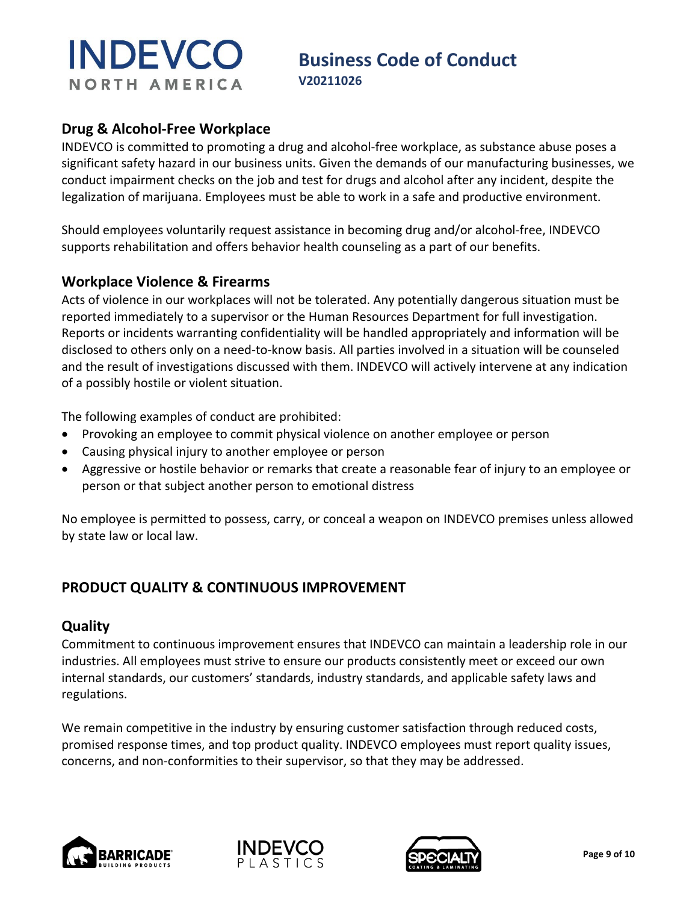# **Business Code of Conduct**<br>V20211026

### **Drug & Alcohol-Free Workplace**

INDEVCO is committed to promoting a drug and alcohol-free workplace, as substance abuse poses a significant safety hazard in our business units. Given the demands of our manufacturing businesses, we conduct impairment checks on the job and test for drugs and alcohol after any incident, despite the legalization of marijuana. Employees must be able to work in a safe and productive environment.

Should employees voluntarily request assistance in becoming drug and/or alcohol-free, INDEVCO supports rehabilitation and offers behavior health counseling as a part of our benefits.

#### **Workplace Violence & Firearms**

Acts of violence in our workplaces will not be tolerated. Any potentially dangerous situation must be reported immediately to a supervisor or the Human Resources Department for full investigation. Reports or incidents warranting confidentiality will be handled appropriately and information will be disclosed to others only on a need-to-know basis. All parties involved in a situation will be counseled and the result of investigations discussed with them. INDEVCO will actively intervene at any indication of a possibly hostile or violent situation.

The following examples of conduct are prohibited:

- Provoking an employee to commit physical violence on another employee or person
- Causing physical injury to another employee or person
- Aggressive or hostile behavior or remarks that create a reasonable fear of injury to an employee or person or that subject another person to emotional distress

No employee is permitted to possess, carry, or conceal a weapon on INDEVCO premises unless allowed by state law or local law.

### **PRODUCT QUALITY & CONTINUOUS IMPROVEMENT**

#### **Quality**

Commitment to continuous improvement ensures that INDEVCO can maintain a leadership role in our industries. All employees must strive to ensure our products consistently meet or exceed our own internal standards, our customers' standards, industry standards, and applicable safety laws and regulations.

We remain competitive in the industry by ensuring customer satisfaction through reduced costs, promised response times, and top product quality. INDEVCO employees must report quality issues, concerns, and non-conformities to their supervisor, so that they may be addressed.